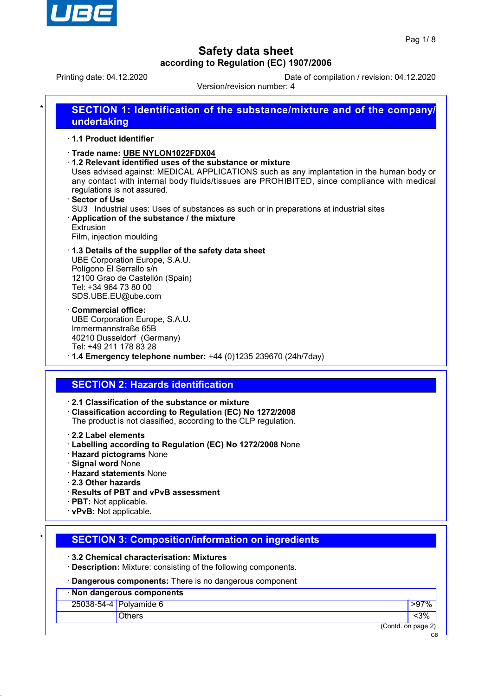

Printing date: 04.12.2020 Date of compilation / revision: 04.12.2020

Version/revision number: 4

| undertaking                                                                                                                                                                                                                                                                                                                                                                                                                                                                                                            |
|------------------------------------------------------------------------------------------------------------------------------------------------------------------------------------------------------------------------------------------------------------------------------------------------------------------------------------------------------------------------------------------------------------------------------------------------------------------------------------------------------------------------|
| 1.1 Product identifier                                                                                                                                                                                                                                                                                                                                                                                                                                                                                                 |
| Trade name: UBE NYLON1022FDX04<br>1.2 Relevant identified uses of the substance or mixture<br>Uses advised against: MEDICAL APPLICATIONS such as any implantation in the human body or<br>any contact with internal body fluids/tissues are PROHIBITED, since compliance with medical<br>regulations is not assured.<br>Sector of Use<br>SU3 Industrial uses: Uses of substances as such or in preparations at industrial sites<br>Application of the substance / the mixture<br>Extrusion<br>Film, injection moulding |
| 1.3 Details of the supplier of the safety data sheet<br>UBE Corporation Europe, S.A.U.<br>Polígono El Serrallo s/n<br>12100 Grao de Castellón (Spain)<br>Tel: +34 964 73 80 00<br>SDS.UBE.EU@ube.com                                                                                                                                                                                                                                                                                                                   |
| <b>Commercial office:</b><br>UBE Corporation Europe, S.A.U.<br>Immermannstraße 65B<br>40210 Dusseldorf (Germany)<br>Tel: +49 211 178 83 28<br>$\cdot$ 1.4 Emergency telephone number: +44 (0)1235 239670 (24h/7day)                                                                                                                                                                                                                                                                                                    |
| <b>SECTION 2: Hazards identification</b>                                                                                                                                                                                                                                                                                                                                                                                                                                                                               |
| 2.1 Classification of the substance or mixture<br>Classification according to Regulation (EC) No 1272/2008<br>The product is not classified, according to the CLP regulation.                                                                                                                                                                                                                                                                                                                                          |
| 2.2 Label elements<br>· Labelling according to Regulation (EC) No 1272/2008 None<br><b>Hazard pictograms None</b><br>· Signal word None<br><b>Hazard statements None</b><br>2.3 Other hazards<br>Results of PBT and vPvB assessment<br>· PBT: Not applicable.<br>vPvB: Not applicable.                                                                                                                                                                                                                                 |

· **Description:** Mixture: consisting of the following components.

· **Dangerous components:** There is no dangerous component

| <u> — an gere a eempenenser inordito no admigorous component</u> |               |                    |  |
|------------------------------------------------------------------|---------------|--------------------|--|
| · Non dangerous components                                       |               |                    |  |
| 25038-54-4 Polyamide 6                                           |               | $>97\%$            |  |
|                                                                  | <b>Others</b> | $3%$               |  |
|                                                                  |               | (Contd. on page 2) |  |
|                                                                  |               | <b>GB</b>          |  |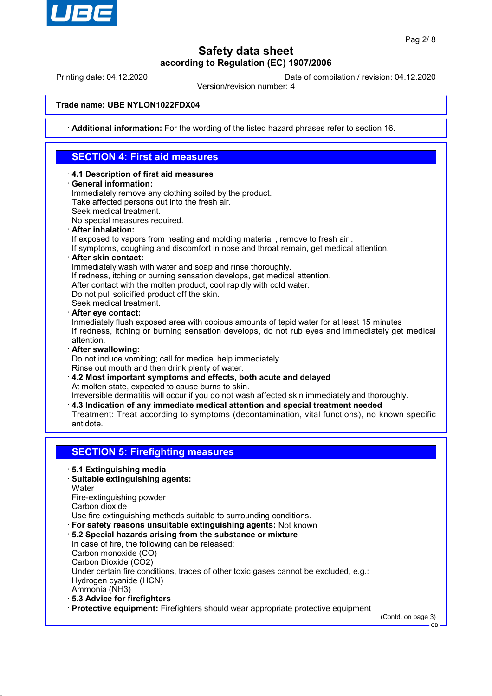

Printing date: 04.12.2020 Date of compilation / revision: 04.12.2020

Version/revision number: 4

### **Trade name: UBE NYLON1022FDX04**

· **Additional information:** For the wording of the listed hazard phrases refer to section 16.

# **SECTION 4: First aid measures**

- · **4.1 Description of first aid measures**
- · **General information:**

Immediately remove any clothing soiled by the product. Take affected persons out into the fresh air.

Seek medical treatment.

No special measures required.

· **After inhalation:**

If exposed to vapors from heating and molding material , remove to fresh air .

- If symptoms, coughing and discomfort in nose and throat remain, get medical attention.
- · **After skin contact:**

Immediately wash with water and soap and rinse thoroughly.

If redness, itching or burning sensation develops, get medical attention.

After contact with the molten product, cool rapidly with cold water.

Do not pull solidified product off the skin.

Seek medical treatment.

· **After eye contact:**

Inmediately flush exposed area with copious amounts of tepid water for at least 15 minutes If redness, itching or burning sensation develops, do not rub eyes and immediately get medical attention.

· **After swallowing:**

Do not induce vomiting; call for medical help immediately.

Rinse out mouth and then drink plenty of water.

· **4.2 Most important symptoms and effects, both acute and delayed** At molten state, expected to cause burns to skin.

Irreversible dermatitis will occur if you do not wash affected skin immediately and thoroughly.

- · **4.3 Indication of any immediate medical attention and special treatment needed**
- Treatment: Treat according to symptoms (decontamination, vital functions), no known specific antidote.

## **SECTION 5: Firefighting measures**

- · **5.1 Extinguishing media**
- · **Suitable extinguishing agents:**

**Water** 

Fire-extinguishing powder

Carbon dioxide

Use fire extinguishing methods suitable to surrounding conditions.

- · **For safety reasons unsuitable extinguishing agents:** Not known
- · **5.2 Special hazards arising from the substance or mixture**

In case of fire, the following can be released: Carbon monoxide (CO)

Carbon Dioxide (CO2)

Under certain fire conditions, traces of other toxic gases cannot be excluded, e.g.: Hydrogen cyanide (HCN)

Ammonia (NH3)

· **5.3 Advice for firefighters**

· **Protective equipment:** Firefighters should wear appropriate protective equipment

(Contd. on page 3)

GB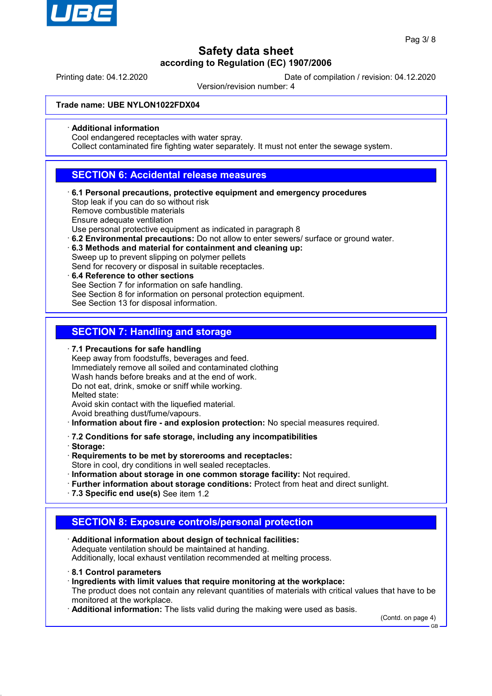

Printing date: 04.12.2020 Date of compilation / revision: 04.12.2020

Version/revision number: 4

#### **Trade name: UBE NYLON1022FDX04**

#### · **Additional information**

Cool endangered receptacles with water spray.

Collect contaminated fire fighting water separately. It must not enter the sewage system.

### **SECTION 6: Accidental release measures**

· **6.1 Personal precautions, protective equipment and emergency procedures** Stop leak if you can do so without risk

Remove combustible materials

Ensure adequate ventilation

Use personal protective equipment as indicated in paragraph 8

- · **6.2 Environmental precautions:** Do not allow to enter sewers/ surface or ground water.
- · **6.3 Methods and material for containment and cleaning up:** Sweep up to prevent slipping on polymer pellets

Send for recovery or disposal in suitable receptacles.

· **6.4 Reference to other sections** See Section 7 for information on safe handling. See Section 8 for information on personal protection equipment. See Section 13 for disposal information.

## **SECTION 7: Handling and storage**

· **7.1 Precautions for safe handling**

Keep away from foodstuffs, beverages and feed. Immediately remove all soiled and contaminated clothing Wash hands before breaks and at the end of work. Do not eat, drink, smoke or sniff while working. Melted state: Avoid skin contact with the liquefied material.

Avoid breathing dust/fume/vapours.

· **Information about fire - and explosion protection:** No special measures required.

· **7.2 Conditions for safe storage, including any incompatibilities**

- · **Storage:**
- · **Requirements to be met by storerooms and receptacles:**

Store in cool, dry conditions in well sealed receptacles.

- · **Information about storage in one common storage facility:** Not required.
- · **Further information about storage conditions:** Protect from heat and direct sunlight.
- · **7.3 Specific end use(s)** See item 1.2

## **SECTION 8: Exposure controls/personal protection**

- · **Additional information about design of technical facilities:** Adequate ventilation should be maintained at handing. Additionally, local exhaust ventilation recommended at melting process.
- · **8.1 Control parameters**
- · **Ingredients with limit values that require monitoring at the workplace:** The product does not contain any relevant quantities of materials with critical values that have to be monitored at the workplace.
- · **Additional information:** The lists valid during the making were used as basis.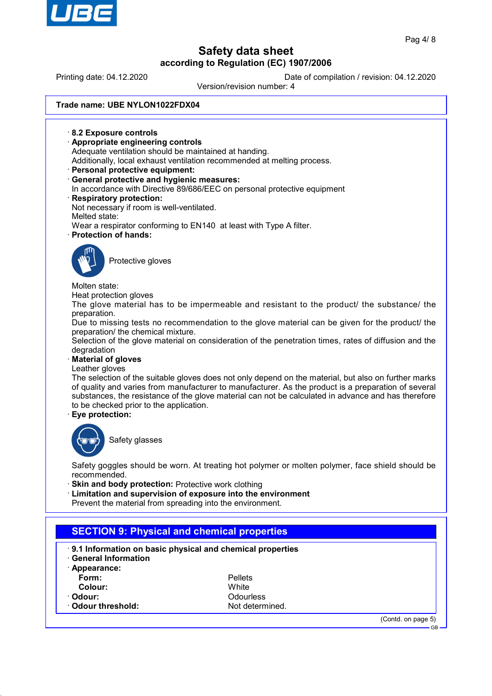

(Contd. on page 5)

GB

# **Safety data sheet according to Regulation (EC) 1907/2006**

Printing date: 04.12.2020 Date of compilation / revision: 04.12.2020

Version/revision number: 4

### **Trade name: UBE NYLON1022FDX04**

· **8.2 Exposure controls** · **Appropriate engineering controls** Adequate ventilation should be maintained at handing. Additionally, local exhaust ventilation recommended at melting process. · **Personal protective equipment:** · **General protective and hygienic measures:** In accordance with Directive 89/686/EEC on personal protective equipment · **Respiratory protection:** Not necessary if room is well-ventilated. Melted state: Wear a respirator conforming to EN140 at least with Type A filter. · **Protection of hands:** Protective gloves Molten state: Heat protection gloves The glove material has to be impermeable and resistant to the product/ the substance/ the preparation. Due to missing tests no recommendation to the glove material can be given for the product/ the preparation/ the chemical mixture. Selection of the glove material on consideration of the penetration times, rates of diffusion and the degradation · **Material of gloves** Leather gloves The selection of the suitable gloves does not only depend on the material, but also on further marks of quality and varies from manufacturer to manufacturer. As the product is a preparation of several substances, the resistance of the glove material can not be calculated in advance and has therefore to be checked prior to the application. · **Eye protection:** Safety glasses Safety goggles should be worn. At treating hot polymer or molten polymer, face shield should be recommended. **Skin and body protection: Protective work clothing** · **Limitation and supervision of exposure into the environment** Prevent the material from spreading into the environment. **SECTION 9: Physical and chemical properties** · **9.1 Information on basic physical and chemical properties** · **General Information** · **Appearance: Form:** Pellets **Colour:** White<br>
Colour: White<br>
Colour: Colour: · **Odour:** Odourless **Odour threshold:** Not determined.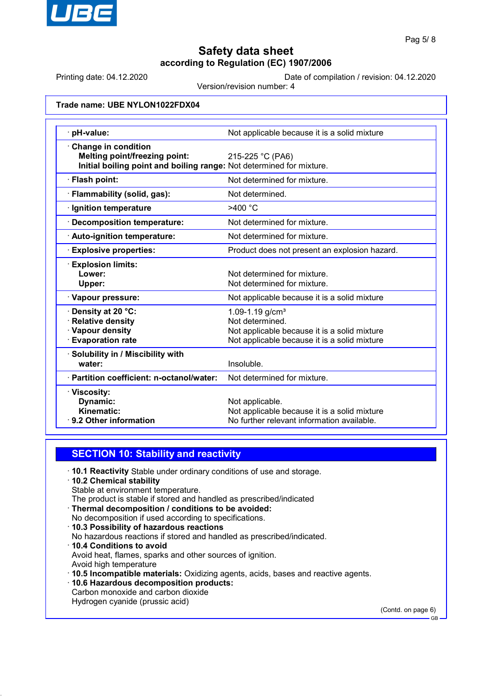

Printing date: 04.12.2020 Date of compilation / revision: 04.12.2020

Version/revision number: 4

### **Trade name: UBE NYLON1022FDX04**

| · pH-value:                                                                                                                                | Not applicable because it is a solid mixture                                                                                                   |
|--------------------------------------------------------------------------------------------------------------------------------------------|------------------------------------------------------------------------------------------------------------------------------------------------|
| <b>Change in condition</b><br><b>Melting point/freezing point:</b><br>Initial boiling point and boiling range: Not determined for mixture. | 215-225 °C (PA6)                                                                                                                               |
| · Flash point:                                                                                                                             | Not determined for mixture.                                                                                                                    |
| Flammability (solid, gas):                                                                                                                 | Not determined.                                                                                                                                |
| Ignition temperature                                                                                                                       | >400 °C                                                                                                                                        |
| <b>Decomposition temperature:</b>                                                                                                          | Not determined for mixture.                                                                                                                    |
| · Auto-ignition temperature:                                                                                                               | Not determined for mixture.                                                                                                                    |
| <b>Explosive properties:</b>                                                                                                               | Product does not present an explosion hazard.                                                                                                  |
| <b>Explosion limits:</b><br>Lower:<br>Upper:                                                                                               | Not determined for mixture.<br>Not determined for mixture.                                                                                     |
| · Vapour pressure:                                                                                                                         | Not applicable because it is a solid mixture                                                                                                   |
| Density at 20 °C:<br><b>Relative density</b><br>· Vapour density<br><b>Evaporation rate</b>                                                | 1.09-1.19 g/cm <sup>3</sup><br>Not determined.<br>Not applicable because it is a solid mixture<br>Not applicable because it is a solid mixture |
| · Solubility in / Miscibility with<br>water:                                                                                               | Insoluble.                                                                                                                                     |
| · Partition coefficient: n-octanol/water:                                                                                                  | Not determined for mixture.                                                                                                                    |
| · Viscosity:<br>Dynamic:<br>Kinematic:<br>⋅ 9.2 Other information                                                                          | Not applicable.<br>Not applicable because it is a solid mixture<br>No further relevant information available.                                  |

### **SECTION 10: Stability and reactivity**

· **10.1 Reactivity** Stable under ordinary conditions of use and storage.

· **10.2 Chemical stability** Stable at environment temperature.

The product is stable if stored and handled as prescribed/indicated

- · **Thermal decomposition / conditions to be avoided:**
- No decomposition if used according to specifications.
- · **10.3 Possibility of hazardous reactions** No hazardous reactions if stored and handled as prescribed/indicated. · **10.4 Conditions to avoid** Avoid heat, flames, sparks and other sources of ignition.
- Avoid high temperature

· **10.5 Incompatible materials:** Oxidizing agents, acids, bases and reactive agents.

· **10.6 Hazardous decomposition products:** Carbon monoxide and carbon dioxide

Hydrogen cyanide (prussic acid)

(Contd. on page 6)

GB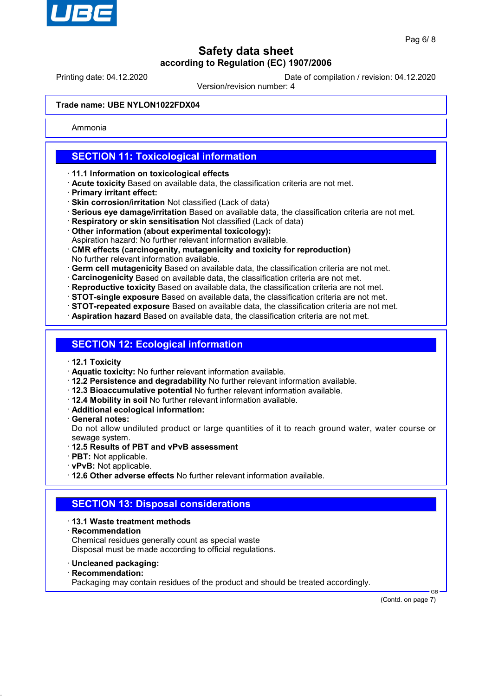

Printing date: 04.12.2020 Date of compilation / revision: 04.12.2020

Version/revision number: 4

### **Trade name: UBE NYLON1022FDX04**

Ammonia

## **SECTION 11: Toxicological information**

- · **11.1 Information on toxicological effects**
- · **Acute toxicity** Based on available data, the classification criteria are not met.
- · **Primary irritant effect:**
- · **Skin corrosion/irritation** Not classified (Lack of data)
- · **Serious eye damage/irritation** Based on available data, the classification criteria are not met.
- · **Respiratory or skin sensitisation** Not classified (Lack of data)
- · **Other information (about experimental toxicology):**
- Aspiration hazard: No further relevant information available.
- · **CMR effects (carcinogenity, mutagenicity and toxicity for reproduction)** No further relevant information available.
- · **Germ cell mutagenicity** Based on available data, the classification criteria are not met.
- · **Carcinogenicity** Based on available data, the classification criteria are not met.
- · **Reproductive toxicity** Based on available data, the classification criteria are not met.
- · **STOT-single exposure** Based on available data, the classification criteria are not met.
- · **STOT-repeated exposure** Based on available data, the classification criteria are not met.
- · **Aspiration hazard** Based on available data, the classification criteria are not met.

### **SECTION 12: Ecological information**

- · **12.1 Toxicity**
- · **Aquatic toxicity:** No further relevant information available.
- · **12.2 Persistence and degradability** No further relevant information available.
- · **12.3 Bioaccumulative potential** No further relevant information available.
- · **12.4 Mobility in soil** No further relevant information available.
- · **Additional ecological information:**
- · **General notes:**

Do not allow undiluted product or large quantities of it to reach ground water, water course or sewage system.

- · **12.5 Results of PBT and vPvB assessment**
- · **PBT:** Not applicable.
- · **vPvB:** Not applicable.
- · **12.6 Other adverse effects** No further relevant information available.

## **SECTION 13: Disposal considerations**

### · **13.1 Waste treatment methods**

· **Recommendation**

Chemical residues generally count as special waste Disposal must be made according to official regulations.

- · **Uncleaned packaging:**
- · **Recommendation:**

Packaging may contain residues of the product and should be treated accordingly.

 GB (Contd. on page 7)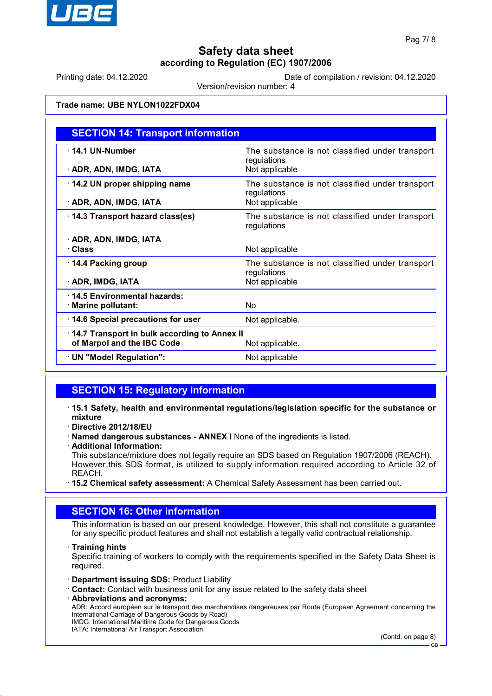

Printing date: 04.12.2020 Date of compilation / revision: 04.12.2020

Version/revision number: 4

### **Trade name: UBE NYLON1022FDX04**

| <b>SECTION 14: Transport information</b>     |                                                                |  |
|----------------------------------------------|----------------------------------------------------------------|--|
| $\cdot$ 14.1 UN-Number                       | The substance is not classified under transport<br>regulations |  |
| · ADR, ADN, IMDG, IATA                       | Not applicable                                                 |  |
| 14.2 UN proper shipping name                 | The substance is not classified under transport<br>regulations |  |
| · ADR, ADN, IMDG, IATA                       | Not applicable                                                 |  |
| 14.3 Transport hazard class(es)              | The substance is not classified under transport<br>regulations |  |
| · ADR, ADN, IMDG, IATA                       |                                                                |  |
| · Class                                      | Not applicable                                                 |  |
| 14.4 Packing group                           | The substance is not classified under transport<br>regulations |  |
| · ADR, IMDG, IATA                            | Not applicable                                                 |  |
| 14.5 Environmental hazards:                  |                                                                |  |
| · Marine pollutant:                          | Nο                                                             |  |
| 14.6 Special precautions for user            | Not applicable.                                                |  |
| 14.7 Transport in bulk according to Annex II |                                                                |  |
| of Marpol and the IBC Code                   | Not applicable.                                                |  |
| · UN "Model Regulation":                     | Not applicable                                                 |  |

## **SECTION 15: Regulatory information**

- · **15.1 Safety, health and environmental regulations/legislation specific for the substance or mixture**
- · **Directive 2012/18/EU**
- · **Named dangerous substances ANNEX I** None of the ingredients is listed.
- · **Additional Information:**

This substance/mixture does not legally require an SDS based on Regulation 1907/2006 (REACH). However,this SDS format, is utilized to supply information required according to Article 32 of REACH.

· **15.2 Chemical safety assessment:** A Chemical Safety Assessment has been carried out.

### **SECTION 16: Other information**

This information is based on our present knowledge. However, this shall not constitute a guarantee for any specific product features and shall not establish a legally valid contractual relationship.

· **Training hints**

Specific training of workers to comply with the requirements specified in the Safety Data Sheet is required.

- · **Department issuing SDS:** Product Liability
- · **Contact:** Contact with business unit for any issue related to the safety data sheet
- · **Abbreviations and acronyms:** ADR: Accord européen sur le transport des marchandises dangereuses par Route (European Agreement concerning the International Carriage of Dangerous Goods by Road) IMDG: International Maritime Code for Dangerous Goods IATA: International Air Transport Association

(Contd. on page 8)

GB